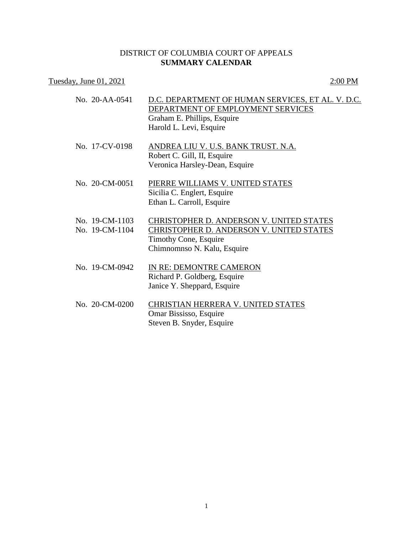## DISTRICT OF COLUMBIA COURT OF APPEALS **SUMMARY CALENDAR**

## Tuesday, June 01, 2021 2:00 PM

| No. 20-AA-0541                   | D.C. DEPARTMENT OF HUMAN SERVICES, ET AL. V. D.C.<br>DEPARTMENT OF EMPLOYMENT SERVICES<br>Graham E. Phillips, Esquire<br>Harold L. Levi, Esquire    |
|----------------------------------|-----------------------------------------------------------------------------------------------------------------------------------------------------|
| No. 17-CV-0198                   | ANDREA LIU V. U.S. BANK TRUST. N.A.<br>Robert C. Gill, II, Esquire<br>Veronica Harsley-Dean, Esquire                                                |
| No. 20-CM-0051                   | PIERRE WILLIAMS V. UNITED STATES<br>Sicilia C. Englert, Esquire<br>Ethan L. Carroll, Esquire                                                        |
| No. 19-CM-1103<br>No. 19-CM-1104 | CHRISTOPHER D. ANDERSON V. UNITED STATES<br><b>CHRISTOPHER D. ANDERSON V. UNITED STATES</b><br>Timothy Cone, Esquire<br>Chimnomnso N. Kalu, Esquire |
| No. 19-CM-0942                   | IN RE: DEMONTRE CAMERON<br>Richard P. Goldberg, Esquire<br>Janice Y. Sheppard, Esquire                                                              |
| No. 20-CM-0200                   | CHRISTIAN HERRERA V. UNITED STATES<br>Omar Bississo, Esquire<br>Steven B. Snyder, Esquire                                                           |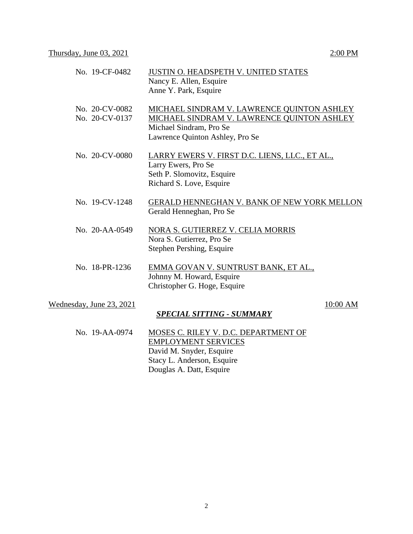| No. 19-CF-0482                   | <b>JUSTIN O. HEADSPETH V. UNITED STATES</b><br>Nancy E. Allen, Esquire<br>Anne Y. Park, Esquire                                                        |
|----------------------------------|--------------------------------------------------------------------------------------------------------------------------------------------------------|
| No. 20-CV-0082<br>No. 20-CV-0137 | MICHAEL SINDRAM V. LAWRENCE QUINTON ASHLEY<br>MICHAEL SINDRAM V. LAWRENCE QUINTON ASHLEY<br>Michael Sindram, Pro Se<br>Lawrence Quinton Ashley, Pro Se |
| No. 20-CV-0080                   | LARRY EWERS V. FIRST D.C. LIENS, LLC., ET AL.,<br>Larry Ewers, Pro Se<br>Seth P. Slomovitz, Esquire<br>Richard S. Love, Esquire                        |
| No. 19-CV-1248                   | <b>GERALD HENNEGHAN V. BANK OF NEW YORK MELLON</b><br>Gerald Henneghan, Pro Se                                                                         |
| No. 20-AA-0549                   | NORA S. GUTIERREZ V. CELIA MORRIS<br>Nora S. Gutierrez, Pro Se<br>Stephen Pershing, Esquire                                                            |
| No. 18-PR-1236                   | EMMA GOVAN V. SUNTRUST BANK, ET AL.,<br>Johnny M. Howard, Esquire<br>Christopher G. Hoge, Esquire                                                      |
| Wednesday, June 23, 2021         | 10:00 AM<br><u>SPECIAL SITTING - SUMMARY</u>                                                                                                           |
| No. 19-AA-0974                   | MOSES C. RILEY V. D.C. DEPARTMENT OF<br><b>EMPLOYMENT SERVICES</b><br>David M. Snyder, Esquire                                                         |

Stacy L. Anderson, Esquire Douglas A. Datt, Esquire